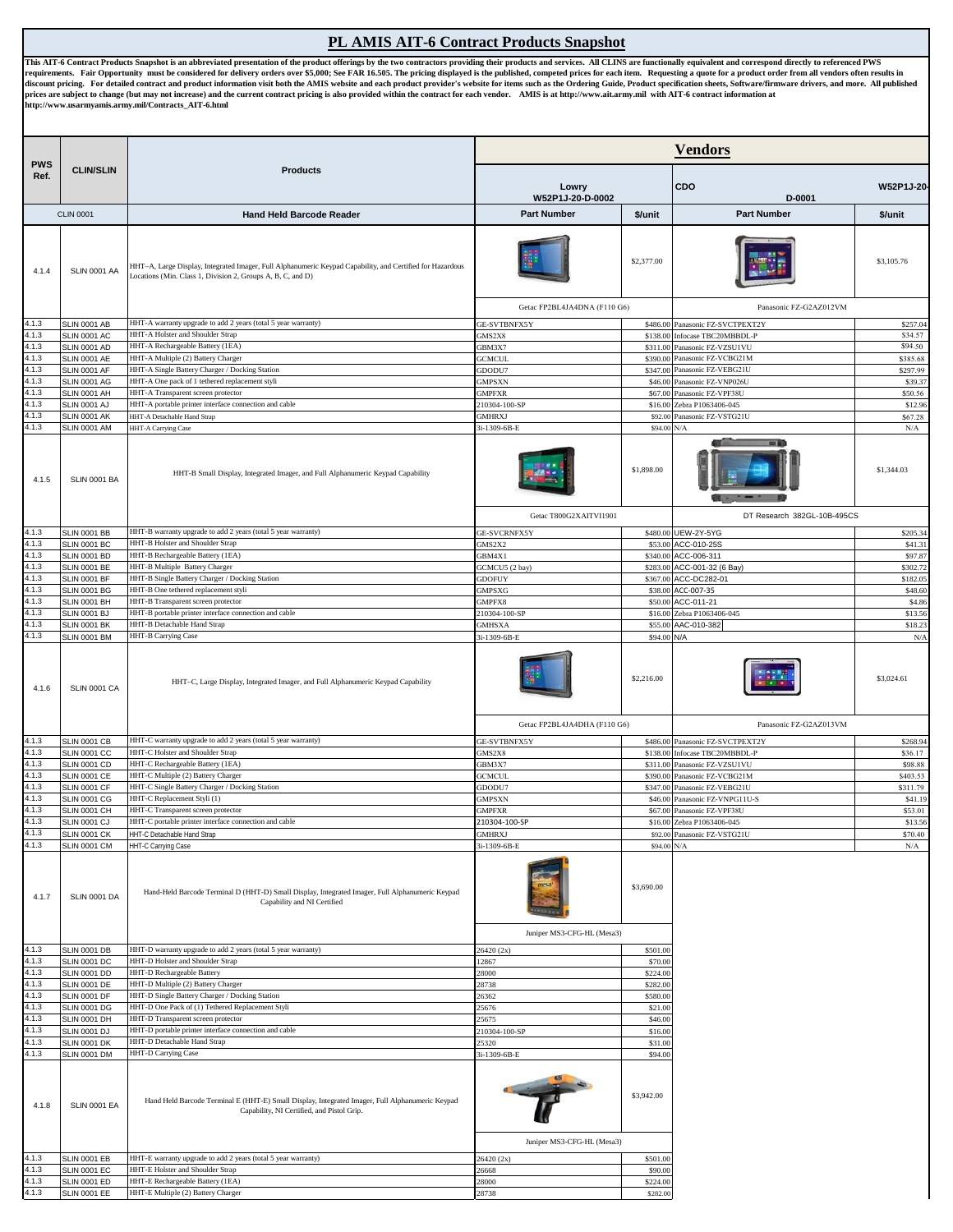## **PL AMIS AIT-6 Contract Products Snapshot**

This AIT-6 Contract Products Snapshot is an abbreviated presentation of the product offerings by the two contractors providing their products and services. All CLINS are functionally equivalent and correspond directly to r **http://www.usarmyamis.army.mil/Contracts\_AIT-6.html** 

|                    |                                            | <b>Products</b>                                                                                                                                                          | <b>Vendors</b>                             |                       |                                                  |                      |  |
|--------------------|--------------------------------------------|--------------------------------------------------------------------------------------------------------------------------------------------------------------------------|--------------------------------------------|-----------------------|--------------------------------------------------|----------------------|--|
| <b>PWS</b><br>Ref. | <b>CLIN/SLIN</b>                           |                                                                                                                                                                          | Lowry<br>W52P1J-20-D-0002                  |                       | <b>CDO</b><br>W52P1J-20-<br>D-0001               |                      |  |
|                    | <b>CLIN 0001</b>                           | <b>Hand Held Barcode Reader</b>                                                                                                                                          | <b>Part Number</b>                         | \$/unit               | <b>Part Number</b>                               | \$/unit              |  |
| 4.1.4              | SLIN 0001 AA                               | HHT-A, Large Display, Integrated Imager, Full Alphanumeric Keypad Capability, and Certified for Hazardous<br>Locations (Min. Class 1, Division 2, Groups A, B, C, and D) |                                            | \$2,377.00            |                                                  | \$3,105.76           |  |
|                    |                                            |                                                                                                                                                                          | Getac FP2BL4JA4DNA (F110 G6)               |                       | Panasonic FZ-G2AZ012VM                           |                      |  |
| 4.1.3              | <b>SLIN 0001 AB</b>                        | HHT-A warranty upgrade to add 2 years (total 5 year warranty)                                                                                                            | GE-SVTBNFX5Y                               | \$486.00              | Panasonic FZ-SVCTPEXT2Y                          | \$257.0              |  |
| 4.1.3              | <b>SLIN 0001 AC</b>                        | HHT-A Holster and Shoulder Strap                                                                                                                                         | GMS2X8                                     |                       | \$138.00 Infocase TBC20MBBDL-P                   | \$34.57              |  |
| 4.1.3              | <b>SLIN 0001 AD</b>                        | HHT-A Rechargeable Battery (1EA)                                                                                                                                         | GBM3X7                                     | \$311.00              | Panasonic FZ-VZSU1VU                             | \$94.50              |  |
| 4.1.3<br>4.1.3     | <b>SLIN 0001 AE</b><br><b>SLIN 0001 AF</b> | HHT-A Multiple (2) Battery Charger<br>HHT-A Single Battery Charger / Docking Station                                                                                     | <b>GCMCUL</b><br>GDODU7                    | \$390.00<br>\$347.00  | Panasonic FZ-VCBG21M<br>Panasonic FZ-VEBG21U     | \$385.68<br>\$297.99 |  |
| 4.1.3              | <b>SLIN 0001 AG</b>                        | HHT-A One pack of 1 tethered replacement styli                                                                                                                           | GMPSXN                                     | \$46.00               | Panasonic FZ-VNP026U                             | \$39.37              |  |
| 4.1.3              | <b>SLIN 0001 AH</b>                        | HHT-A Transparent screen protector                                                                                                                                       | <b>GMPFXR</b>                              | \$67.00               | Panasonic FZ-VPF38U                              | \$50.56              |  |
| 4.1.3              | <b>SLIN 0001 AJ</b>                        | HHT-A portable printer interface connection and cable                                                                                                                    | 210304-100-SP                              |                       | \$16.00 Zebra P1063406-045                       | \$12.96              |  |
| 4.1.3              | <b>SLIN 0001 AK</b>                        | HHT-A Detachable Hand Strap                                                                                                                                              | <b>GMHRXJ</b>                              | \$92.00               | Panasonic FZ-VSTG21U                             | \$67.28              |  |
| 4.1.3              | <b>SLIN 0001 AM</b>                        | HHT-A Carrying Case                                                                                                                                                      | 3i-1309-6B-E                               | \$94.00 N/A           |                                                  | $\rm N/A$            |  |
| 4.1.5              | SLIN 0001 BA                               | HHT-B Small Display, Integrated Imager, and Full Alphanumeric Keypad Capability                                                                                          |                                            | \$1,898.00            |                                                  | \$1,344.03           |  |
|                    |                                            |                                                                                                                                                                          | Getac T800G2XAITVI1901                     |                       | DT Research 382GL-10B-495CS                      |                      |  |
| 4.1.3              | <b>SLIN 0001 BB</b>                        | HHT-B warranty upgrade to add 2 years (total 5 year warranty)                                                                                                            | GE-SVCRNFX5Y                               | \$480.00              | UEW-2Y-5YG                                       | \$205.34             |  |
| 4.1.3              | <b>SLIN 0001 BC</b>                        | HHT-B Holster and Shoulder Strap                                                                                                                                         | GMS2X2                                     |                       | \$53.00 ACC-010-25S                              | \$41.31              |  |
| 4.1.3              | <b>SLIN 0001 BD</b>                        | HHT-B Rechargeable Battery (1EA)                                                                                                                                         | GBM4X1                                     |                       | \$340.00 ACC-006-311                             | \$97.87              |  |
| 4.1.3              | <b>SLIN 0001 BE</b>                        | HHT-B Multiple Battery Charger                                                                                                                                           | GCMCU5 (2 bay)                             | \$283.00              | ACC-001-32 (6 Bay)                               | \$302.72             |  |
| 4.1.3<br>4.1.3     | <b>SLIN 0001 BF</b>                        | HHT-B Single Battery Charger / Docking Station<br>HHT-B One tethered replacement styli                                                                                   | <b>GDOFUY</b>                              | \$367.00              | ACC-DC282-01                                     | \$182.05             |  |
| 4.1.3              | <b>SLIN 0001 BG</b><br>SLIN 0001 BH        | HHT-B Transparent screen protector                                                                                                                                       | <b>GMPSXG</b><br>GMPFX8                    | \$38.00<br>\$50.00    | ACC-007-35<br>ACC-011-21                         | \$48.60<br>\$4.86    |  |
| 4.1.3              | SLIN 0001 BJ                               | HHT-B portable printer interface connection and cable                                                                                                                    | 210304-100-SP                              | \$16.00               | Zebra P1063406-045                               | \$13.56              |  |
| 4.1.3              | <b>SLIN 0001 BK</b>                        | HHT-B Detachable Hand Strap                                                                                                                                              | <b>GMHSXA</b>                              | \$55.00               | AAC-010-382                                      | \$18.23              |  |
| 4.1.3              | <b>SLIN 0001 BM</b>                        | <b>HHT-B Carrying Case</b>                                                                                                                                               | 3i-1309-6B-E                               | \$94.00               | N/A                                              | $\rm N/A$            |  |
| 4.1.6              | <b>SLIN 0001 CA</b>                        | HHT-C, Large Display, Integrated Imager, and Full Alphanumeric Keypad Capability                                                                                         |                                            | \$2,216.00            |                                                  | \$3,024.61           |  |
|                    |                                            |                                                                                                                                                                          | Getac FP2BL4JA4DHA (F110 G6)               |                       | Panasonic FZ-G2AZ013VM                           |                      |  |
| 4.1.3<br>4.1.3     | <b>SLIN 0001 CB</b><br><b>SLIN 0001 CC</b> | HHT-C warranty upgrade to add 2 years (total 5 year warranty)<br>HHT-C Holster and Shoulder Strap                                                                        | GE-SVTBNFX5Y<br><b>GMS2X8</b>              | \$486.00<br>\$138.00  | Panasonic FZ-SVCTPEXT2Y<br>Infocase TBC20MBBDL-P | \$268.94<br>\$36.17  |  |
| 4.1.3              | <b>SLIN 0001 CD</b>                        | HHT-C Rechargeable Battery (1EA)                                                                                                                                         | GBM3X7                                     |                       | \$311.00 Panasonic FZ-VZSU1VU                    | \$98.88              |  |
| 4.1.3              | <b>SLIN 0001 CE</b>                        | HHT-C Multiple (2) Battery Charger                                                                                                                                       | <b>GCMCUL</b>                              | \$390.00              | Panasonic FZ-VCBG21M                             | \$403.53             |  |
| 4.1.3              | <b>SLIN 0001 CF</b>                        | HHT-C Single Battery Charger / Docking Station                                                                                                                           | GDODU7                                     | \$347.00              | Panasonic FZ-VEBG21U                             | \$311.79             |  |
| 4.1.3              | <b>SLIN 0001 CG</b>                        | HHT-C Replacement Styli (1)                                                                                                                                              | <b>GMPSXN</b>                              | \$46.00               | Panasonic FZ-VNPG11U-S                           | \$41.19              |  |
| 4.1.3              | <b>SLIN 0001 CH</b>                        | HHT-C Transparent screen protector                                                                                                                                       | <b>GMPFXR</b>                              |                       | \$67.00 Panasonic FZ-VPF38U                      | \$53.01              |  |
| 4.1.3              | <b>SLIN 0001 CJ</b>                        | HHT-C portable printer interface connection and cable                                                                                                                    | 210304-100-SP                              |                       | \$16.00 Zebra P1063406-045                       | \$13.56              |  |
| 4.1.3<br>4.1.3     | <b>SLIN 0001 CK</b><br><b>SLIN 0001 CM</b> | HHT-C Detachable Hand Strap<br>HHT-C Carrying Case                                                                                                                       | <b>GMHRXJ</b><br>3i-1309-6B-E              | \$94.00 N/A           | \$92.00 Panasonic FZ-VSTG21U                     | \$70.40<br>$\rm N/A$ |  |
| 4.1.7              | <b>SLIN 0001 DA</b>                        | Hand-Held Barcode Terminal D (HHT-D) Small Display, Integrated Imager, Full Alphanumeric Keypad<br>Capability and NI Certified                                           | Juniper MS3-CFG-HL (Mesa3)                 | \$3,690.00            |                                                  |                      |  |
| 4.1.3              | <b>SLIN 0001 DB</b>                        | HHT-D warranty upgrade to add 2 years (total 5 year warranty)                                                                                                            | 26420 (2x)                                 | \$501.00              |                                                  |                      |  |
| 4.1.3              | <b>SLIN 0001 DC</b>                        | HHT-D Holster and Shoulder Strap                                                                                                                                         | 12867                                      | \$70.00               |                                                  |                      |  |
| 4.1.3              | <b>SLIN 0001 DD</b>                        | HHT-D Rechargeable Battery                                                                                                                                               | 28000                                      | \$224.00              |                                                  |                      |  |
| 4.1.3<br>4.1.3     | <b>SLIN 0001 DE</b>                        | HHT-D Multiple (2) Battery Charger                                                                                                                                       | 28738                                      | \$282.00              |                                                  |                      |  |
| 4.1.3              | <b>SLIN 0001 DF</b><br><b>SLIN 0001 DG</b> | HHT-D Single Battery Charger / Docking Station<br>HHT-D One Pack of (1) Tethered Replacement Styli                                                                       | 26362<br>25676                             | \$580.00<br>\$21.00   |                                                  |                      |  |
| 4.1.3              | <b>SLIN 0001 DH</b>                        | HHT-D Transparent screen protector                                                                                                                                       | 25675                                      | \$46.00               |                                                  |                      |  |
| 4.1.3              | <b>SLIN 0001 DJ</b>                        | HHT-D portable printer interface connection and cable                                                                                                                    | 210304-100-SP                              | \$16.00               |                                                  |                      |  |
| 4.1.3              | <b>SLIN 0001 DK</b>                        | HHT-D Detachable Hand Strap                                                                                                                                              | 25320                                      | \$31.00               |                                                  |                      |  |
| 4.1.3<br>4.1.8     | <b>SLIN 0001 DM</b><br><b>SLIN 0001 EA</b> | HHT-D Carrying Case<br>Hand Held Barcode Terminal E (HHT-E) Small Display, Integrated Imager, Full Alphanumeric Keypad<br>Capability, NI Certified, and Pistol Grip.     | 3i-1309-6B-E<br>Juniper MS3-CFG-HL (Mesa3) | \$94.00<br>\$3,942.00 |                                                  |                      |  |
| 4.1.3              | <b>SLIN 0001 EB</b>                        | HHT-E warranty upgrade to add 2 years (total 5 year warranty)                                                                                                            | 26420 (2x)                                 | \$501.00              |                                                  |                      |  |
| 4.1.3              | <b>SLIN 0001 EC</b>                        | HHT-E Holster and Shoulder Strap                                                                                                                                         | 26668                                      | \$90.00               |                                                  |                      |  |
| 4.1.3              | <b>SLIN 0001 ED</b>                        | HHT-E Rechargeable Battery (1EA)                                                                                                                                         | 28000                                      | \$224.00              |                                                  |                      |  |
| 4.1.3              | <b>SLIN 0001 EE</b>                        | HHT-E Multiple (2) Battery Charger                                                                                                                                       | 28738                                      | \$282.00              |                                                  |                      |  |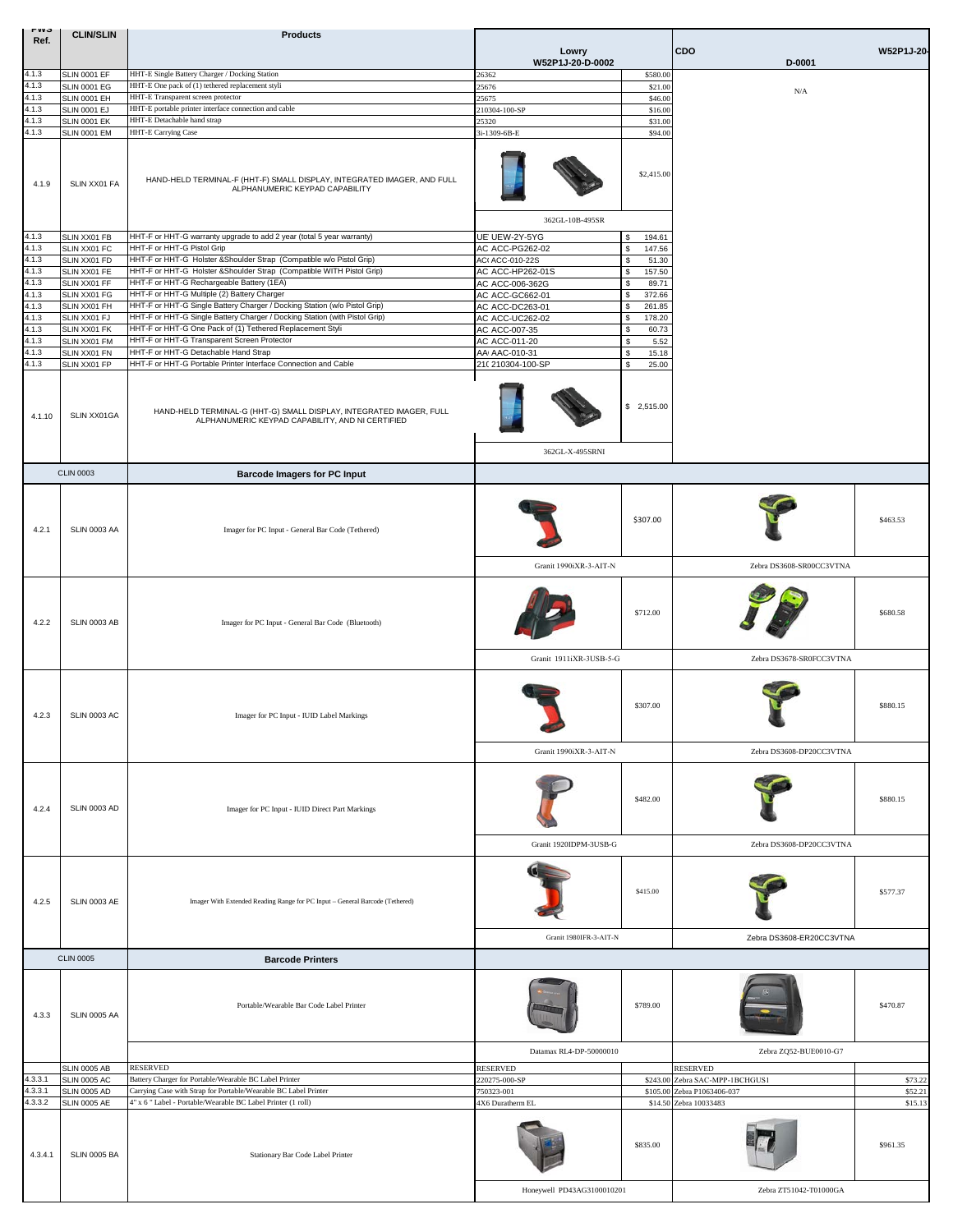| <b>LAAQ</b><br>Ref. | <b>CLIN/SLIN</b>                           | <b>Products</b>                                                                                                         | Lowry                              |                            | CDO                             | W52P1J-20- |  |
|---------------------|--------------------------------------------|-------------------------------------------------------------------------------------------------------------------------|------------------------------------|----------------------------|---------------------------------|------------|--|
|                     |                                            |                                                                                                                         | W52P1J-20-D-0002                   |                            | D-0001                          |            |  |
| 4.1.3<br>4.1.3      | <b>SLIN 0001 EF</b>                        | HHT-E Single Battery Charger / Docking Station                                                                          | 26362                              | \$580.00                   |                                 |            |  |
| 4.1.3               | <b>SLIN 0001 EG</b>                        | HHT-E One pack of (1) tethered replacement styli                                                                        | 5676                               | \$21.00                    | N/A                             |            |  |
| 4.1.3               | <b>SLIN 0001 EH</b><br><b>SLIN 0001 EJ</b> | HHT-E Transparent screen protector<br>HHT-E portable printer interface connection and cable                             | 25675                              | \$46.00                    |                                 |            |  |
| 4.1.3               | <b>SLIN 0001 EK</b>                        | HHT-E Detachable hand strap                                                                                             | 210304-100-SP<br>25320             | \$16.00<br>\$31.00         |                                 |            |  |
| 4.1.3               | <b>SLIN 0001 EM</b>                        | HHT-E Carrying Case                                                                                                     | 3i-1309-6B-E                       | \$94.00                    |                                 |            |  |
| 4.1.9               | SLIN XX01 FA                               | HAND-HELD TERMINAL-F (HHT-F) SMALL DISPLAY, INTEGRATED IMAGER, AND FULL<br>ALPHANUMERIC KEYPAD CAPABILITY               |                                    | \$2,415.00                 |                                 |            |  |
|                     |                                            |                                                                                                                         | 362GL-10B-495SR                    |                            |                                 |            |  |
| 4.1.3               | SLIN XX01 FB                               | HHT-F or HHT-G warranty upgrade to add 2 year (total 5 year warranty)                                                   | UE' UEW-2Y-5YG                     | 194.61<br>\$               |                                 |            |  |
| 4.1.3               | SLIN XX01 FC                               | HHT-F or HHT-G Pistol Grip                                                                                              | AC ACC-PG262-02                    | 147.56<br>\$               |                                 |            |  |
| 4.1.3               | SLIN XX01 FD                               | HHT-F or HHT-G Holster &Shoulder Strap (Compatible w/o Pistol Grip)                                                     | AC(ACC-010-22S                     | 51.30<br>\$                |                                 |            |  |
| 4.1.3<br>4.1.3      | SLIN XX01 FE<br>SLIN XX01 FF               | HHT-F or HHT-G Holster &Shoulder Strap (Compatible WITH Pistol Grip)<br>HHT-F or HHT-G Rechargeable Battery (1EA)       | AC ACC-HP262-01S                   | \$<br>157.50<br>89.71<br>S |                                 |            |  |
| 4.1.3               | SLIN XX01 FG                               | HHT-F or HHT-G Multiple (2) Battery Charger                                                                             | AC ACC-006-362G<br>AC ACC-GC662-01 | 372.66<br>S                |                                 |            |  |
| 4.1.3               | SLIN XX01 FH                               | HHT-F or HHT-G Single Battery Charger / Docking Station (w/o Pistol Grip)                                               | AC ACC-DC263-01                    | 261.85<br>s                |                                 |            |  |
| 4.1.3               | SLIN XX01 FJ                               | HHT-F or HHT-G Single Battery Charger / Docking Station (with Pistol Grip)                                              | AC ACC-UC262-02                    | \$<br>178.20               |                                 |            |  |
| 4.1.3               | SLIN XX01 FK                               | HHT-F or HHT-G One Pack of (1) Tethered Replacement Styli                                                               | AC ACC-007-35                      | \$<br>60.73                |                                 |            |  |
| 4.1.3               | SLIN XX01 FM                               | HHT-F or HHT-G Transparent Screen Protector                                                                             | AC ACC-011-20                      | 5.52<br>\$                 |                                 |            |  |
| 4.1.3               | SLIN XX01 FN                               | HHT-F or HHT-G Detachable Hand Strap                                                                                    | AAI AAC-010-31                     | 15.18<br>S                 |                                 |            |  |
| 4.1.3               | SLIN XX01 FP                               | HHT-F or HHT-G Portable Printer Interface Connection and Cable                                                          | 210 210304-100-SP                  | 25.00<br>S                 |                                 |            |  |
| 4.1.10              | SLIN XX01GA                                | HAND-HELD TERMINAL-G (HHT-G) SMALL DISPLAY, INTEGRATED IMAGER, FULL<br>ALPHANUMERIC KEYPAD CAPABILITY, AND NI CERTIFIED | 362GL-X-495SRNI                    | \$2,515.00                 |                                 |            |  |
|                     |                                            |                                                                                                                         |                                    |                            |                                 |            |  |
|                     | <b>CLIN 0003</b>                           | <b>Barcode Imagers for PC Input</b>                                                                                     |                                    |                            |                                 |            |  |
| 4.2.1               | SLIN 0003 AA                               | Imager for PC Input - General Bar Code (Tethered)                                                                       |                                    | \$307.00                   |                                 | \$463.53   |  |
|                     |                                            |                                                                                                                         | Granit 1990iXR-3-AIT-N             |                            | Zebra DS3608-SR00CC3VTNA        |            |  |
| 4.2.2               | SLIN 0003 AB                               | Imager for PC Input - General Bar Code (Bluetooth)                                                                      |                                    | \$712.00                   |                                 | \$680.58   |  |
|                     |                                            |                                                                                                                         | Granit 1911iXR-3USB-5-G            |                            | Zebra DS3678-SR0FCC3VTNA        |            |  |
| 4.2.3               | <b>SLIN 0003 AC</b>                        | Imager for PC Input - IUID Label Markings                                                                               |                                    | \$307.00                   |                                 | \$880.15   |  |
|                     |                                            |                                                                                                                         | Granit 1990iXR-3-AIT-N             |                            | Zebra DS3608-DP20CC3VTNA        |            |  |
| 4.2.4               | <b>SLIN 0003 AD</b>                        | Imager for PC Input - IUID Direct Part Markings                                                                         |                                    | \$482.00                   |                                 | \$880.15   |  |
|                     |                                            |                                                                                                                         | Granit 1920IDPM-3USB-G             |                            | Zebra DS3608-DP20CC3VTNA        |            |  |
| 4.2.5               | <b>SLIN 0003 AE</b>                        | Imager With Extended Reading Range for PC Input - General Barcode (Tethered)                                            |                                    | \$415.00                   |                                 | \$577.37   |  |
|                     |                                            |                                                                                                                         | Granit 1980IFR-3-AIT-N             |                            | Zebra DS3608-ER20CC3VTNA        |            |  |
|                     | <b>CLIN 0005</b>                           | <b>Barcode Printers</b>                                                                                                 |                                    |                            |                                 |            |  |
|                     |                                            |                                                                                                                         |                                    |                            |                                 |            |  |
| 4.3.3               | SLIN 0005 AA                               | Portable/Wearable Bar Code Label Printer                                                                                |                                    | \$789.00                   |                                 | \$470.87   |  |
|                     |                                            |                                                                                                                         | Datamax RL4-DP-50000010            |                            | Zebra ZQ52-BUE0010-G7           |            |  |
|                     | <b>SLIN 0005 AB</b>                        | <b>RESERVED</b>                                                                                                         | RESERVED                           |                            | <b>RESERVED</b>                 |            |  |
| 4.3.3.1             | <b>SLIN 0005 AC</b>                        | Battery Charger for Portable/Wearable BC Label Printer                                                                  | 220275-000-SP                      |                            | \$243.00 Zebra SAC-MPP-1BCHGUS1 | \$73.22    |  |
| 4.3.3.1             | <b>SLIN 0005 AD</b>                        | Carrying Case with Strap for Portable/Wearable BC Label Printer                                                         | 750323-001                         |                            | \$105.00 Zebra P1063406-037     | \$52.21    |  |
| 4.3.3.2             | <b>SLIN 0005 AE</b>                        | 4" x 6 " Label - Portable/Wearable BC Label Printer (1 roll)                                                            | 4X6 Duratherm EL                   |                            | \$14.50 Zebra 10033483          | \$15.13    |  |
| 4.3.4.1             | <b>SLIN 0005 BA</b>                        | Stationary Bar Code Label Printer                                                                                       |                                    | \$835.00                   |                                 | \$961.35   |  |
|                     |                                            |                                                                                                                         | Honeywell PD43AG3100010201         |                            | Zebra ZT51042-T01000GA          |            |  |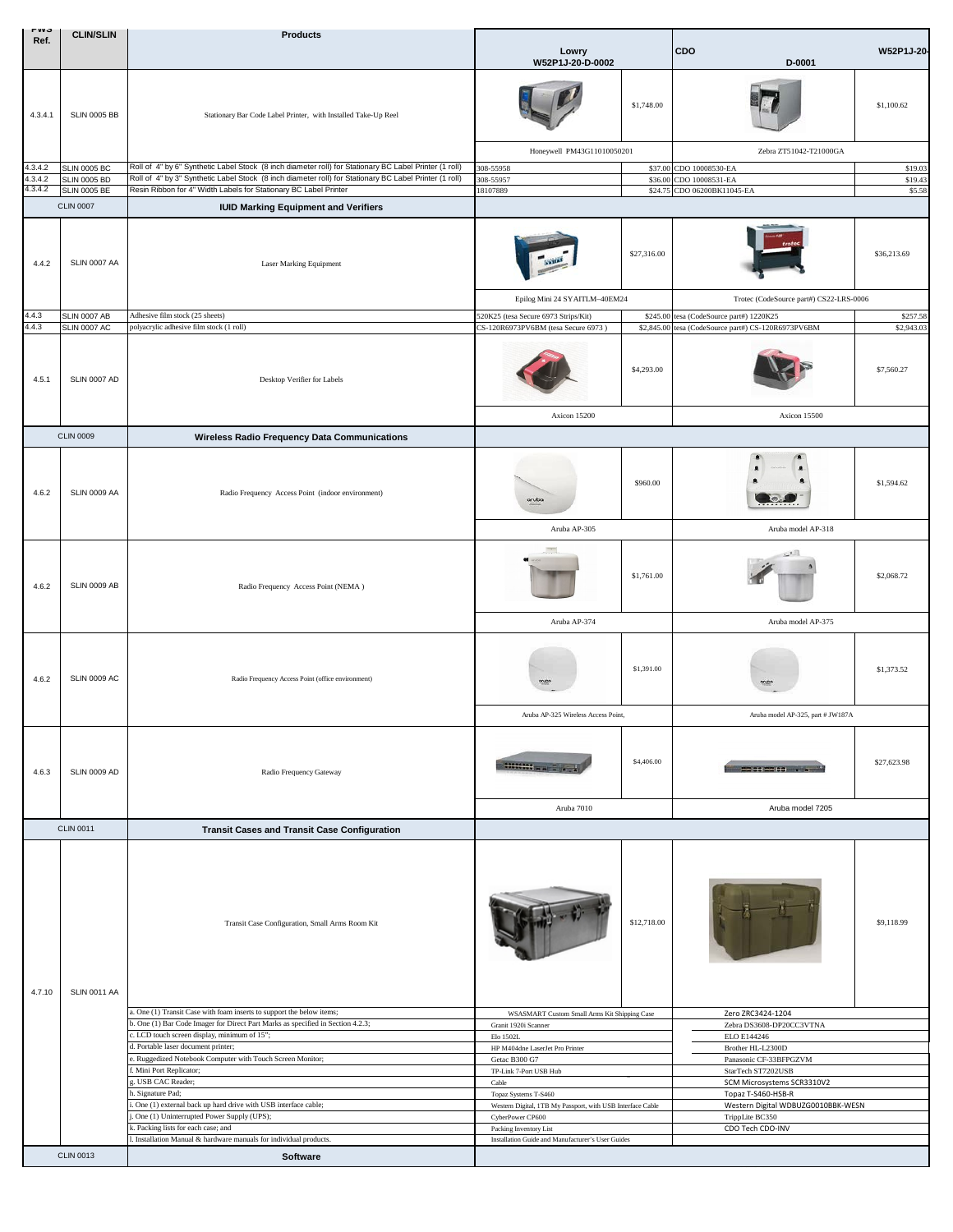| гич<br>Ref.        | <b>CLIN/SLIN</b>    | <b>Products</b>                                                                                        |                                                                                                                                        |             |                                             |             |  |
|--------------------|---------------------|--------------------------------------------------------------------------------------------------------|----------------------------------------------------------------------------------------------------------------------------------------|-------------|---------------------------------------------|-------------|--|
|                    |                     |                                                                                                        | Lowry                                                                                                                                  |             | CDO                                         | W52P1J-20-  |  |
|                    |                     |                                                                                                        | W52P1J-20-D-0002                                                                                                                       |             | D-0001                                      |             |  |
| 4.3.4.1            | <b>SLIN 0005 BB</b> | Stationary Bar Code Label Printer, with Installed Take-Up Reel                                         |                                                                                                                                        | \$1,748.00  |                                             | \$1,100.62  |  |
|                    |                     |                                                                                                        | Honeywell PM43G11010050201                                                                                                             |             | Zebra ZT51042-T21000GA                      |             |  |
| 4.3.4.2            | <b>SLIN 0005 BC</b> | Roll of 4" by 6" Synthetic Label Stock (8 inch diameter roll) for Stationary BC Label Printer (1 roll) | 308-55958                                                                                                                              | \$37.00     | CDO 10008530-EA                             | \$19.03     |  |
| 4.3.4.2<br>4.3.4.2 | <b>SLIN 0005 BD</b> | Roll of 4" by 3" Synthetic Label Stock (8 inch diameter roll) for Stationary BC Label Printer (1 roll) | 308-55957                                                                                                                              | \$36.00     | CDO 10008531-EA<br>CDO 06200BK11045-EA      | \$19.43     |  |
|                    | <b>SLIN 0005 BE</b> | Resin Ribbon for 4" Width Labels for Stationary BC Label Printer                                       | 18107889                                                                                                                               | \$24.75     |                                             | \$5.58      |  |
|                    | <b>CLIN 0007</b>    | <b>IUID Marking Equipment and Verifiers</b>                                                            |                                                                                                                                        |             |                                             |             |  |
| 4.4.2              | SLIN 0007 AA        | Laser Marking Equipment                                                                                | Epilog Mini 24 SYAITLM-40EM24                                                                                                          | \$27,316.00 | Trotec (CodeSource part#) CS22-LRS-0006     | \$36,213.69 |  |
|                    |                     |                                                                                                        |                                                                                                                                        |             |                                             |             |  |
| 4.4.3<br>4.4.3     | <b>SLIN 0007 AB</b> | Adhesive film stock (25 sheets)                                                                        | 520K25 (tesa Secure 6973 Strips/Kit)                                                                                                   | \$245.00    | tesa (CodeSource part#) 1220K25             | \$257.58    |  |
|                    | <b>SLIN 0007 AC</b> | polyacrylic adhesive film stock (1 roll)                                                               | CS-120R6973PV6BM (tesa Secure 6973)                                                                                                    | \$2,845.00  | tesa (CodeSource part#) CS-120R6973PV6BM    | \$2,943.03  |  |
| 4.5.1              | SLIN 0007 AD        | Desktop Verifier for Labels                                                                            |                                                                                                                                        | \$4,293.00  |                                             | \$7,560.27  |  |
|                    |                     |                                                                                                        | Axicon 15200                                                                                                                           |             | Axicon 15500                                |             |  |
|                    | <b>CLIN 0009</b>    | <b>Wireless Radio Frequency Data Communications</b>                                                    |                                                                                                                                        |             |                                             |             |  |
| 4.6.2              | SLIN 0009 AA        | Radio Frequency Access Point (indoor environment)                                                      | aruba<br>Aruba AP-305                                                                                                                  | \$960.00    | Aruba model AP-318                          | \$1,594.62  |  |
|                    |                     |                                                                                                        |                                                                                                                                        |             |                                             |             |  |
| 4.6.2              | SLIN 0009 AB        | Radio Frequency Access Point (NEMA)                                                                    |                                                                                                                                        | \$1,761.00  | $\mathbb{R}^{n\times n}$                    | \$2,068.72  |  |
|                    |                     |                                                                                                        | Aruba AP-374                                                                                                                           |             | Aruba model AP-375                          |             |  |
| 4.6.2              | <b>SLIN 0009 AC</b> | Radio Frequency Access Point (office environment)                                                      |                                                                                                                                        | \$1,391.00  | orubs                                       | \$1,373.52  |  |
|                    |                     |                                                                                                        | Aruba AP-325 Wireless Access Point,                                                                                                    |             | Aruba model AP-325, part # JW187A           |             |  |
| 4.6.3              | <b>SLIN 0009 AD</b> | Radio Frequency Gateway                                                                                | $\frac{1}{2}$                                                                                                                          | \$4,406.00  | 220022000000                                | \$27,623.98 |  |
|                    |                     |                                                                                                        | Aruba 7010                                                                                                                             |             | Aruba model 7205                            |             |  |
|                    | <b>CLIN 0011</b>    | <b>Transit Cases and Transit Case Configuration</b>                                                    |                                                                                                                                        |             |                                             |             |  |
| 4.7.10             | <b>SLIN 0011 AA</b> | Transit Case Configuration, Small Arms Room Kit                                                        |                                                                                                                                        | \$12,718.00 |                                             | \$9,118.99  |  |
|                    |                     | a. One (1) Transit Case with foam inserts to support the below items;                                  | WSASMART Custom Small Arms Kit Shipping Case                                                                                           |             | Zero ZRC3424-1204                           |             |  |
|                    |                     | b. One (1) Bar Code Imager for Direct Part Marks as specified in Section 4.2.3;                        | Granit 1920i Scanner<br>Elo 1502L<br>HP M404dne LaserJet Pro Printer<br>Getac B300 G7<br>TP-Link 7-Port USB Hub                        |             | Zebra DS3608-DP20CC3VTNA<br>ELO E144246     |             |  |
|                    |                     | c. LCD touch screen display, minimum of 15";                                                           |                                                                                                                                        |             |                                             |             |  |
|                    |                     | d. Portable laser document printer;<br>e. Ruggedized Notebook Computer with Touch Screen Monitor;      |                                                                                                                                        |             | Brother HL-L2300D<br>Panasonic CF-33BFPGZVM |             |  |
|                    |                     | Mini Port Replicator;                                                                                  |                                                                                                                                        |             | StarTech ST7202USB                          |             |  |
|                    |                     | . USB CAC Reader;                                                                                      | Cable                                                                                                                                  |             | SCM Microsystems SCR3310V2                  |             |  |
|                    |                     | 1. Signature Pad;                                                                                      | Topaz Systems T-S460                                                                                                                   |             | Topaz T-S460-HSB-R                          |             |  |
|                    |                     | One (1) external back up hard drive with USB interface cable;                                          | Western Digital, 1TB My Passport, with USB Interface Cable                                                                             |             | Western Digital WDBUZG0010BBK-WESN          |             |  |
|                    |                     | One (1) Uninterrupted Power Supply (UPS);<br>c. Packing lists for each case; and                       | TrippLite BC350<br>CyberPower CP600<br>CDO Tech CDO-INV<br>Packing Inventory List<br>Installation Guide and Manufacturer's User Guides |             |                                             |             |  |
|                    |                     | . Installation Manual & hardware manuals for individual products.                                      |                                                                                                                                        |             |                                             |             |  |
|                    | <b>CLIN 0013</b>    | Software                                                                                               |                                                                                                                                        |             |                                             |             |  |
|                    |                     |                                                                                                        |                                                                                                                                        |             |                                             |             |  |